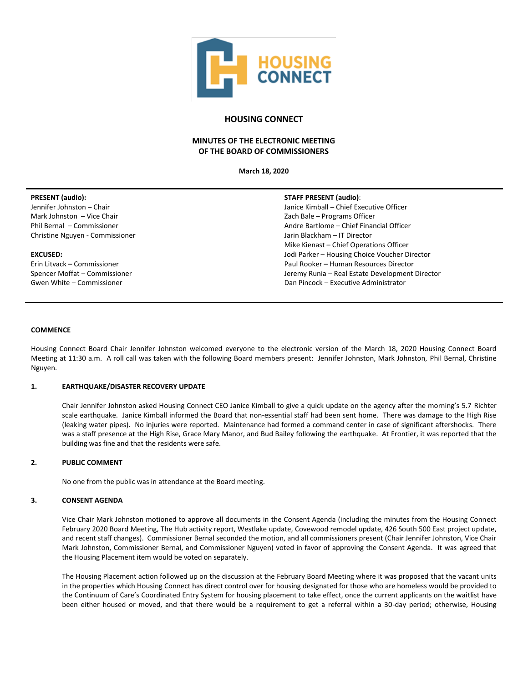

# **HOUSING CONNECT**

# **MINUTES OF THE ELECTRONIC MEETING OF THE BOARD OF COMMISSIONERS**

**March 18, 2020**

| <b>PRESENT</b> (audio): |  |
|-------------------------|--|
|-------------------------|--|

Jennifer Johnston – Chair Mark Johnston – Vice Chair Phil Bernal – Commissioner Christine Nguyen - Commissioner

## **EXCUSED:**

Erin Litvack – Commissioner Spencer Moffat – Commissioner Gwen White – Commissioner

## **STAFF PRESENT (audio)**:

Janice Kimball – Chief Executive Officer Zach Bale – Programs Officer Andre Bartlome – Chief Financial Officer Jarin Blackham – IT Director Mike Kienast – Chief Operations Officer Jodi Parker – Housing Choice Voucher Director Paul Rooker – Human Resources Director Jeremy Runia – Real Estate Development Director Dan Pincock – Executive Administrator

### **COMMENCE**

Housing Connect Board Chair Jennifer Johnston welcomed everyone to the electronic version of the March 18, 2020 Housing Connect Board Meeting at 11:30 a.m. A roll call was taken with the following Board members present: Jennifer Johnston, Mark Johnston, Phil Bernal, Christine Nguyen.

# **1. EARTHQUAKE/DISASTER RECOVERY UPDATE**

Chair Jennifer Johnston asked Housing Connect CEO Janice Kimball to give a quick update on the agency after the morning's 5.7 Richter scale earthquake. Janice Kimball informed the Board that non-essential staff had been sent home. There was damage to the High Rise (leaking water pipes). No injuries were reported. Maintenance had formed a command center in case of significant aftershocks. There was a staff presence at the High Rise, Grace Mary Manor, and Bud Bailey following the earthquake. At Frontier, it was reported that the building was fine and that the residents were safe.

# **2. PUBLIC COMMENT**

No one from the public was in attendance at the Board meeting.

# **3. CONSENT AGENDA**

Vice Chair Mark Johnston motioned to approve all documents in the Consent Agenda (including the minutes from the Housing Connect February 2020 Board Meeting, The Hub activity report, Westlake update, Covewood remodel update, 426 South 500 East project update, and recent staff changes). Commissioner Bernal seconded the motion, and all commissioners present (Chair Jennifer Johnston, Vice Chair Mark Johnston, Commissioner Bernal, and Commissioner Nguyen) voted in favor of approving the Consent Agenda. It was agreed that the Housing Placement item would be voted on separately.

The Housing Placement action followed up on the discussion at the February Board Meeting where it was proposed that the vacant units in the properties which Housing Connect has direct control over for housing designated for those who are homeless would be provided to the Continuum of Care's Coordinated Entry System for housing placement to take effect, once the current applicants on the waitlist have been either housed or moved, and that there would be a requirement to get a referral within a 30-day period; otherwise, Housing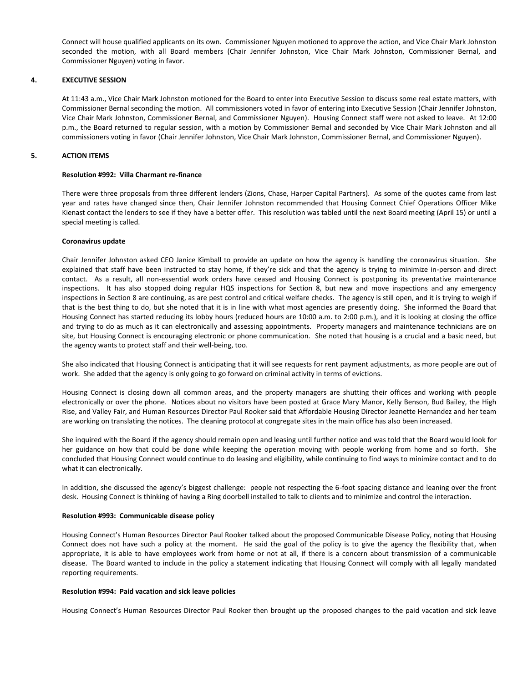Connect will house qualified applicants on its own. Commissioner Nguyen motioned to approve the action, and Vice Chair Mark Johnston seconded the motion, with all Board members (Chair Jennifer Johnston, Vice Chair Mark Johnston, Commissioner Bernal, and Commissioner Nguyen) voting in favor.

## **4. EXECUTIVE SESSION**

At 11:43 a.m., Vice Chair Mark Johnston motioned for the Board to enter into Executive Session to discuss some real estate matters, with Commissioner Bernal seconding the motion. All commissioners voted in favor of entering into Executive Session (Chair Jennifer Johnston, Vice Chair Mark Johnston, Commissioner Bernal, and Commissioner Nguyen). Housing Connect staff were not asked to leave. At 12:00 p.m., the Board returned to regular session, with a motion by Commissioner Bernal and seconded by Vice Chair Mark Johnston and all commissioners voting in favor (Chair Jennifer Johnston, Vice Chair Mark Johnston, Commissioner Bernal, and Commissioner Nguyen).

## **5. ACTION ITEMS**

#### **Resolution #992: Villa Charmant re-finance**

There were three proposals from three different lenders (Zions, Chase, Harper Capital Partners). As some of the quotes came from last year and rates have changed since then, Chair Jennifer Johnston recommended that Housing Connect Chief Operations Officer Mike Kienast contact the lenders to see if they have a better offer. This resolution was tabled until the next Board meeting (April 15) or until a special meeting is called.

#### **Coronavirus update**

Chair Jennifer Johnston asked CEO Janice Kimball to provide an update on how the agency is handling the coronavirus situation. She explained that staff have been instructed to stay home, if they're sick and that the agency is trying to minimize in-person and direct contact. As a result, all non-essential work orders have ceased and Housing Connect is postponing its preventative maintenance inspections. It has also stopped doing regular HQS inspections for Section 8, but new and move inspections and any emergency inspections in Section 8 are continuing, as are pest control and critical welfare checks. The agency is still open, and it is trying to weigh if that is the best thing to do, but she noted that it is in line with what most agencies are presently doing. She informed the Board that Housing Connect has started reducing its lobby hours (reduced hours are 10:00 a.m. to 2:00 p.m.), and it is looking at closing the office and trying to do as much as it can electronically and assessing appointments. Property managers and maintenance technicians are on site, but Housing Connect is encouraging electronic or phone communication. She noted that housing is a crucial and a basic need, but the agency wants to protect staff and their well-being, too.

She also indicated that Housing Connect is anticipating that it will see requests for rent payment adjustments, as more people are out of work. She added that the agency is only going to go forward on criminal activity in terms of evictions.

Housing Connect is closing down all common areas, and the property managers are shutting their offices and working with people electronically or over the phone. Notices about no visitors have been posted at Grace Mary Manor, Kelly Benson, Bud Bailey, the High Rise, and Valley Fair, and Human Resources Director Paul Rooker said that Affordable Housing Director Jeanette Hernandez and her team are working on translating the notices. The cleaning protocol at congregate sites in the main office has also been increased.

She inquired with the Board if the agency should remain open and leasing until further notice and was told that the Board would look for her guidance on how that could be done while keeping the operation moving with people working from home and so forth. She concluded that Housing Connect would continue to do leasing and eligibility, while continuing to find ways to minimize contact and to do what it can electronically.

In addition, she discussed the agency's biggest challenge: people not respecting the 6-foot spacing distance and leaning over the front desk. Housing Connect is thinking of having a Ring doorbell installed to talk to clients and to minimize and control the interaction.

#### **Resolution #993: Communicable disease policy**

Housing Connect's Human Resources Director Paul Rooker talked about the proposed Communicable Disease Policy, noting that Housing Connect does not have such a policy at the moment. He said the goal of the policy is to give the agency the flexibility that, when appropriate, it is able to have employees work from home or not at all, if there is a concern about transmission of a communicable disease. The Board wanted to include in the policy a statement indicating that Housing Connect will comply with all legally mandated reporting requirements.

#### **Resolution #994: Paid vacation and sick leave policies**

Housing Connect's Human Resources Director Paul Rooker then brought up the proposed changes to the paid vacation and sick leave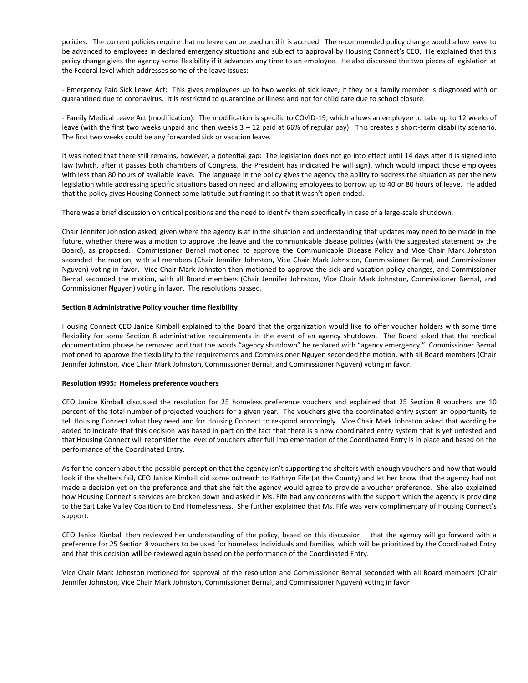policies. The current policies require that no leave can be used until it is accrued. The recommended policy change would allow leave to be advanced to employees in declared emergency situations and subject to approval by Housing Connect's CEO. He explained that this policy change gives the agency some flexibility if it advances any time to an employee. He also discussed the two pieces of legislation at the Federal level which addresses some of the leave issues:

- Emergency Paid Sick Leave Act: This gives employees up to two weeks of sick leave, if they or a family member is diagnosed with or quarantined due to coronavirus. It is restricted to quarantine or illness and not for child care due to school closure.

- Family Medical Leave Act (modification): The modification is specific to COVID-19, which allows an employee to take up to 12 weeks of leave (with the first two weeks unpaid and then weeks 3 – 12 paid at 66% of regular pay). This creates a short-term disability scenario. The first two weeks could be any forwarded sick or vacation leave.

It was noted that there still remains, however, a potential gap: The legislation does not go into effect until 14 days after it is signed into law (which, after it passes both chambers of Congress, the President has indicated he will sign), which would impact those employees with less than 80 hours of available leave. The language in the policy gives the agency the ability to address the situation as per the new legislation while addressing specific situations based on need and allowing employees to borrow up to 40 or 80 hours of leave. He added that the policy gives Housing Connect some latitude but framing it so that it wasn't open ended.

There was a brief discussion on critical positions and the need to identify them specifically in case of a large-scale shutdown.

Chair Jennifer Johnston asked, given where the agency is at in the situation and understanding that updates may need to be made in the future, whether there was a motion to approve the leave and the communicable disease policies (with the suggested statement by the Board), as proposed. Commissioner Bernal motioned to approve the Communicable Disease Policy and Vice Chair Mark Johnston seconded the motion, with all members (Chair Jennifer Johnston, Vice Chair Mark Johnston, Commissioner Bernal, and Commissioner Nguyen) voting in favor. Vice Chair Mark Johnston then motioned to approve the sick and vacation policy changes, and Commissioner Bernal seconded the motion, with all Board members (Chair Jennifer Johnston, Vice Chair Mark Johnston, Commissioner Bernal, and Commissioner Nguyen) voting in favor. The resolutions passed.

#### **Section 8 Administrative Policy voucher time flexibility**

Housing Connect CEO Janice Kimball explained to the Board that the organization would like to offer voucher holders with some time flexibility for some Section 8 administrative requirements in the event of an agency shutdown. The Board asked that the medical documentation phrase be removed and that the words "agency shutdown" be replaced with "agency emergency." Commissioner Bernal motioned to approve the flexibility to the requirements and Commissioner Nguyen seconded the motion, with all Board members (Chair Jennifer Johnston, Vice Chair Mark Johnston, Commissioner Bernal, and Commissioner Nguyen) voting in favor.

## **Resolution #995: Homeless preference vouchers**

CEO Janice Kimball discussed the resolution for 25 homeless preference vouchers and explained that 25 Section 8 vouchers are 10 percent of the total number of projected vouchers for a given year. The vouchers give the coordinated entry system an opportunity to tell Housing Connect what they need and for Housing Connect to respond accordingly. Vice Chair Mark Johnston asked that wording be added to indicate that this decision was based in part on the fact that there is a new coordinated entry system that is yet untested and that Housing Connect will reconsider the level of vouchers after full implementation of the Coordinated Entry is in place and based on the performance of the Coordinated Entry.

As for the concern about the possible perception that the agency isn't supporting the shelters with enough vouchers and how that would look if the shelters fail, CEO Janice Kimball did some outreach to Kathryn Fife (at the County) and let her know that the agency had not made a decision yet on the preference and that she felt the agency would agree to provide a voucher preference. She also explained how Housing Connect's services are broken down and asked if Ms. Fife had any concerns with the support which the agency is providing to the Salt Lake Valley Coalition to End Homelessness. She further explained that Ms. Fife was very complimentary of Housing Connect's support.

CEO Janice Kimball then reviewed her understanding of the policy, based on this discussion – that the agency will go forward with a preference for 25 Section 8 vouchers to be used for homeless individuals and families, which will be prioritized by the Coordinated Entry and that this decision will be reviewed again based on the performance of the Coordinated Entry.

Vice Chair Mark Johnston motioned for approval of the resolution and Commissioner Bernal seconded with all Board members (Chair Jennifer Johnston, Vice Chair Mark Johnston, Commissioner Bernal, and Commissioner Nguyen) voting in favor.